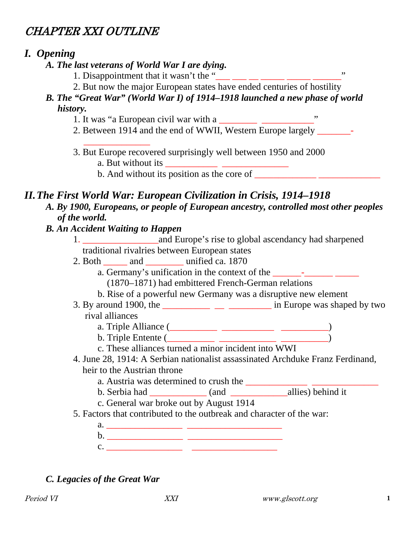# CHAPTER XXI OUTLINE

### *I. Opening*

- *A. The last veterans of World War I are dying.*
	- 1. Disappointment that it wasn't the " $\frac{1}{\cdot}$   $\frac{1}{\cdot}$   $\frac{1}{\cdot}$   $\frac{1}{\cdot}$   $\frac{1}{\cdot}$   $\frac{1}{\cdot}$   $\frac{1}{\cdot}$
	- 2. But now the major European states have ended centuries of hostility
- *B. The "Great War" (World War I) of 1914–1918 launched a new phase of world history.*
	- 1. It was "a European civil war with a  $\frac{1}{\sqrt{1-\frac{1}{n}}}\frac{1}{\sqrt{1-\frac{1}{n}}}\frac{1}{\sqrt{1-\frac{1}{n}}}\frac{1}{\sqrt{1-\frac{1}{n}}}\frac{1}{\sqrt{1-\frac{1}{n}}}\frac{1}{\sqrt{1-\frac{1}{n}}}\frac{1}{\sqrt{1-\frac{1}{n}}}\frac{1}{\sqrt{1-\frac{1}{n}}}\frac{1}{\sqrt{1-\frac{1}{n}}}\frac{1}{\sqrt{1-\frac{1}{n}}}\frac{1}{\sqrt{1-\frac{1}{n}}}\frac{1}{$
	- 2. Between 1914 and the end of WWII, Western Europe largely —
- \_\_\_\_\_\_\_\_\_\_\_\_\_\_ 3. But Europe recovered surprisingly well between 1950 and 2000 a. But without its  $\frac{\qquad \qquad \qquad}{\qquad \qquad \qquad}$ 
	- b. And without its position as the core of  $\frac{1}{\sqrt{1-\frac{1}{n}}}\frac{1}{\sqrt{1-\frac{1}{n}}}\frac{1}{\sqrt{1-\frac{1}{n}}}\frac{1}{\sqrt{1-\frac{1}{n}}}\frac{1}{\sqrt{1-\frac{1}{n}}}\frac{1}{\sqrt{1-\frac{1}{n}}}\frac{1}{\sqrt{1-\frac{1}{n}}}\frac{1}{\sqrt{1-\frac{1}{n}}}\frac{1}{\sqrt{1-\frac{1}{n}}}\frac{1}{\sqrt{1-\frac{1}{n}}}\frac{1}{\sqrt{1-\frac{1}{n}}}\$

### *II.The First World War: European Civilization in Crisis, 1914–1918*

*A. By 1900, Europeans, or people of European ancestry, controlled most other peoples of the world.*

#### *B. An Accident Waiting to Happen*

- 1. \_\_\_\_\_\_\_\_\_\_\_\_\_\_\_\_and Europe's rise to global ascendancy had sharpened traditional rivalries between European states
- 2. Both and unified ca. 1870
	- a. Germany's unification in the context of the  $\frac{1}{\sqrt{2}}$ 
		- (1870–1871) had embittered French-German relations
		- b. Rise of a powerful new Germany was a disruptive new element
- 3. By around 1900, the  $\frac{1}{\sqrt{2}}$  \_\_\_\_\_\_\_\_\_\_\_\_\_ in Europe was shaped by two rival alliances
	- a. Triple Alliance (\_\_\_\_\_\_\_\_\_\_ \_\_\_\_\_\_\_\_\_\_\_ \_\_\_\_\_\_\_\_\_\_)
	- b. Triple Entente (\_\_\_\_\_\_\_\_\_\_ \_\_\_\_\_\_\_\_\_\_\_\_ \_\_\_\_\_\_\_\_\_\_)
	- c. These alliances turned a minor incident into WWI
- 4. June 28, 1914: A Serbian nationalist assassinated Archduke Franz Ferdinand, heir to the Austrian throne
	- a. Austria was determined to crush the
	- b. Serbia had  $(and$   $allies)$  behind it
	- c. General war broke out by August 1914
- 5. Factors that contributed to the outbreak and character of the war:
	- a. \_\_\_\_\_\_\_\_\_\_\_\_\_\_\_\_ \_\_\_\_\_\_\_\_\_\_\_\_\_\_\_\_\_\_\_\_ b. \_\_\_\_\_\_\_\_\_\_\_\_\_\_\_\_ \_\_\_\_\_\_\_\_\_\_\_\_\_\_\_\_\_\_\_\_ c. \_\_\_\_\_\_\_\_\_\_\_\_\_\_\_\_ \_\_\_\_\_\_\_\_\_\_\_\_\_\_\_\_\_\_

### *C. Legacies of the Great War*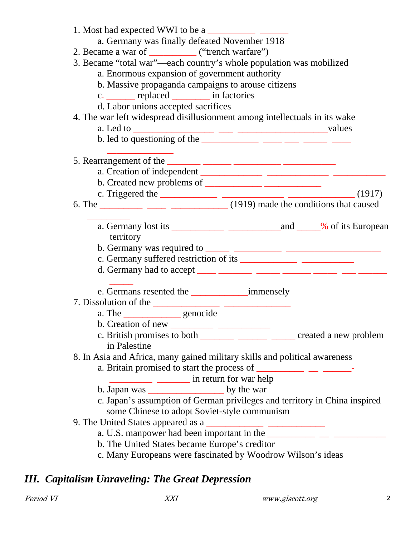| 1. Most had expected WWI to be a                                                                                                                                                                                                                                                                                                                                                                                           |  |  |  |  |
|----------------------------------------------------------------------------------------------------------------------------------------------------------------------------------------------------------------------------------------------------------------------------------------------------------------------------------------------------------------------------------------------------------------------------|--|--|--|--|
| a. Germany was finally defeated November 1918                                                                                                                                                                                                                                                                                                                                                                              |  |  |  |  |
| 2. Became a war of ______________ ("trench warfare")                                                                                                                                                                                                                                                                                                                                                                       |  |  |  |  |
| 3. Became "total war"—each country's whole population was mobilized                                                                                                                                                                                                                                                                                                                                                        |  |  |  |  |
| a. Enormous expansion of government authority                                                                                                                                                                                                                                                                                                                                                                              |  |  |  |  |
| b. Massive propaganda campaigns to arouse citizens                                                                                                                                                                                                                                                                                                                                                                         |  |  |  |  |
| c. _______ replaced _________ in factories                                                                                                                                                                                                                                                                                                                                                                                 |  |  |  |  |
| d. Labor unions accepted sacrifices                                                                                                                                                                                                                                                                                                                                                                                        |  |  |  |  |
| 4. The war left widespread disillusionment among intellectuals in its wake                                                                                                                                                                                                                                                                                                                                                 |  |  |  |  |
|                                                                                                                                                                                                                                                                                                                                                                                                                            |  |  |  |  |
| b. led to questioning of the $\frac{1}{\sqrt{1-\frac{1}{2}}\sqrt{1-\frac{1}{2}}\sqrt{1-\frac{1}{2}}\sqrt{1-\frac{1}{2}}\sqrt{1-\frac{1}{2}}\sqrt{1-\frac{1}{2}}\sqrt{1-\frac{1}{2}}\sqrt{1-\frac{1}{2}}\sqrt{1-\frac{1}{2}}\sqrt{1-\frac{1}{2}}\sqrt{1-\frac{1}{2}}\sqrt{1-\frac{1}{2}}\sqrt{1-\frac{1}{2}}\sqrt{1-\frac{1}{2}}\sqrt{1-\frac{1}{2}}\sqrt{1-\frac{1}{2}}\sqrt{1-\frac{1}{2$                                 |  |  |  |  |
|                                                                                                                                                                                                                                                                                                                                                                                                                            |  |  |  |  |
|                                                                                                                                                                                                                                                                                                                                                                                                                            |  |  |  |  |
|                                                                                                                                                                                                                                                                                                                                                                                                                            |  |  |  |  |
| b. Created new problems of $\_\_\_\_\_\_\_\_\_\_\_\_\_\_\_\_\_\_$                                                                                                                                                                                                                                                                                                                                                          |  |  |  |  |
| 6. The $\frac{1}{\sqrt{1-\frac{1}{\sqrt{1-\frac{1}{\sqrt{1-\frac{1}{\sqrt{1-\frac{1}{\sqrt{1-\frac{1}{\sqrt{1-\frac{1}{\sqrt{1-\frac{1}{\sqrt{1-\frac{1}{\sqrt{1-\frac{1}{\sqrt{1-\frac{1}{\sqrt{1-\frac{1}{\sqrt{1-\frac{1}{\sqrt{1-\frac{1}{\sqrt{1-\frac{1}{\sqrt{1-\frac{1}{\sqrt{1-\frac{1}{\sqrt{1-\frac{1}{\sqrt{1-\frac{1}{\sqrt{1-\frac{1}{\sqrt{1-\frac{1}{\sqrt{1-\frac{1}{\sqrt{1-\frac{1}{\sqrt{1-\frac{1}{\$ |  |  |  |  |
|                                                                                                                                                                                                                                                                                                                                                                                                                            |  |  |  |  |
|                                                                                                                                                                                                                                                                                                                                                                                                                            |  |  |  |  |
| territory                                                                                                                                                                                                                                                                                                                                                                                                                  |  |  |  |  |
|                                                                                                                                                                                                                                                                                                                                                                                                                            |  |  |  |  |
|                                                                                                                                                                                                                                                                                                                                                                                                                            |  |  |  |  |
|                                                                                                                                                                                                                                                                                                                                                                                                                            |  |  |  |  |
|                                                                                                                                                                                                                                                                                                                                                                                                                            |  |  |  |  |
|                                                                                                                                                                                                                                                                                                                                                                                                                            |  |  |  |  |
|                                                                                                                                                                                                                                                                                                                                                                                                                            |  |  |  |  |
| a. The service genocide                                                                                                                                                                                                                                                                                                                                                                                                    |  |  |  |  |
| b. Creation of new                                                                                                                                                                                                                                                                                                                                                                                                         |  |  |  |  |
|                                                                                                                                                                                                                                                                                                                                                                                                                            |  |  |  |  |
| in Palestine                                                                                                                                                                                                                                                                                                                                                                                                               |  |  |  |  |
| 8. In Asia and Africa, many gained military skills and political awareness                                                                                                                                                                                                                                                                                                                                                 |  |  |  |  |
| a. Britain promised to start the process of $\frac{1}{\sqrt{1-\frac{1}{\sqrt{1-\frac{1}{\sqrt{1-\frac{1}{\sqrt{1-\frac{1}{\sqrt{1-\frac{1}{\sqrt{1-\frac{1}{\sqrt{1-\frac{1}{\sqrt{1-\frac{1}{\sqrt{1-\frac{1}{\sqrt{1-\frac{1}{\sqrt{1-\frac{1}{\sqrt{1-\frac{1}{\sqrt{1-\frac{1}{\sqrt{1-\frac{1}{\sqrt{1-\frac{1}{\sqrt{1-\frac{1}{\sqrt{1-\frac{1}{\sqrt{1-\frac{1}{\sqrt{1-\frac{1}{$                                 |  |  |  |  |
| in return for war help                                                                                                                                                                                                                                                                                                                                                                                                     |  |  |  |  |
|                                                                                                                                                                                                                                                                                                                                                                                                                            |  |  |  |  |
| c. Japan's assumption of German privileges and territory in China inspired                                                                                                                                                                                                                                                                                                                                                 |  |  |  |  |
| some Chinese to adopt Soviet-style communism                                                                                                                                                                                                                                                                                                                                                                               |  |  |  |  |
| 9. The United States appeared as a $\frac{1}{2}$ $\frac{1}{2}$ $\frac{1}{2}$ $\frac{1}{2}$ $\frac{1}{2}$ $\frac{1}{2}$ $\frac{1}{2}$ $\frac{1}{2}$ $\frac{1}{2}$ $\frac{1}{2}$ $\frac{1}{2}$ $\frac{1}{2}$ $\frac{1}{2}$ $\frac{1}{2}$ $\frac{1}{2}$ $\frac{1}{2}$ $\frac{1}{2}$ $\frac{1}{2}$ $\frac{1}{$                                                                                                                 |  |  |  |  |
|                                                                                                                                                                                                                                                                                                                                                                                                                            |  |  |  |  |
| b. The United States became Europe's creditor                                                                                                                                                                                                                                                                                                                                                                              |  |  |  |  |
| c. Many Europeans were fascinated by Woodrow Wilson's ideas                                                                                                                                                                                                                                                                                                                                                                |  |  |  |  |
|                                                                                                                                                                                                                                                                                                                                                                                                                            |  |  |  |  |

# *III. Capitalism Unraveling: The Great Depression*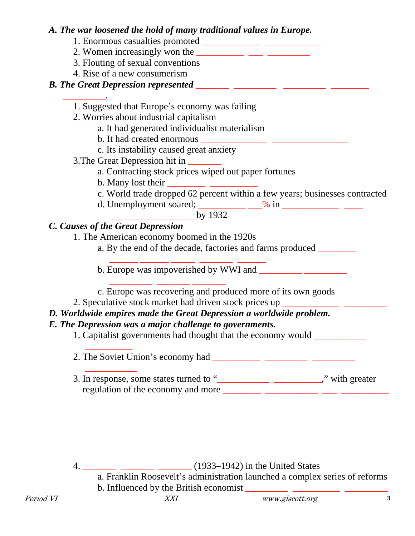#### *A. The war loosened the hold of many traditional values in Europe.*

- 1. Enormous casualties promoted \_\_\_\_\_\_\_\_\_\_\_\_ \_\_\_\_\_\_\_\_\_\_\_\_
- 2. Women increasingly won the  $\frac{1}{\sqrt{2\pi}}$
- 3. Flouting of sexual conventions
- 4. Rise of a new consumerism

#### *B. The Great Depression represented \_\_\_\_\_\_\_ \_\_\_\_\_\_\_\_\_ \_\_\_\_\_\_\_\_\_ \_\_\_\_\_\_\_\_*

- *\_\_\_\_\_\_\_\_\_.* 1. Suggested that Europe's economy was failing
	- 2. Worries about industrial capitalism
		- a. It had generated individualist materialism
		- b. It had created enormous
		- c. Its instability caused great anxiety
	- 3.The Great Depression hit in \_\_\_\_\_\_\_
		- a. Contracting stock prices wiped out paper fortunes
		- b. Many lost their
		- c. World trade dropped 62 percent within a few years; businesses contracted
		- d. Unemployment soared; \_\_\_\_\_\_\_\_\_\_ \_\_\_% in \_\_\_\_\_\_\_\_\_\_\_\_ \_\_\_\_

 $\frac{1}{2}$  by 1932

#### *C. Causes of the Great Depression*

1. The American economy boomed in the 1920s

a. By the end of the decade, factories and farms produced

 \_\_\_\_\_\_ \_\_\_\_\_\_ \_\_\_\_\_ \_\_\_\_\_\_\_ \_\_\_\_\_\_ b. Europe was impoverished by WWI and

- \_\_\_\_\_\_\_\_\_ \_\_\_\_\_\_\_ \_\_\_\_\_\_\_ c. Europe was recovering and produced more of its own goods
- 2. Speculative stock market had driven stock prices up \_\_\_\_\_\_\_\_\_\_\_\_\_\_\_\_\_\_\_\_\_\_\_\_\_

#### *D. Worldwide empires made the Great Depression a worldwide problem.*

#### *E. The Depression was a major challenge to governments.*

1. Capitalist governments had thought that the economy would

 $\overline{\phantom{a}}$  ,  $\overline{\phantom{a}}$  ,  $\overline{\phantom{a}}$  ,  $\overline{\phantom{a}}$  ,  $\overline{\phantom{a}}$  ,  $\overline{\phantom{a}}$  ,  $\overline{\phantom{a}}$  ,  $\overline{\phantom{a}}$  ,  $\overline{\phantom{a}}$  ,  $\overline{\phantom{a}}$  ,  $\overline{\phantom{a}}$  ,  $\overline{\phantom{a}}$  ,  $\overline{\phantom{a}}$  ,  $\overline{\phantom{a}}$  ,  $\overline{\phantom{a}}$  ,  $\overline{\phantom{a}}$ 2. The Soviet Union's economy had \_\_\_\_\_\_\_\_\_\_ \_\_\_\_\_\_\_\_\_ \_\_\_\_\_\_\_\_\_

 $\overline{\phantom{a}}$  ,  $\overline{\phantom{a}}$  ,  $\overline{\phantom{a}}$  ,  $\overline{\phantom{a}}$  ,  $\overline{\phantom{a}}$  ,  $\overline{\phantom{a}}$  ,  $\overline{\phantom{a}}$  ,  $\overline{\phantom{a}}$  ,  $\overline{\phantom{a}}$  ,  $\overline{\phantom{a}}$  ,  $\overline{\phantom{a}}$  ,  $\overline{\phantom{a}}$  ,  $\overline{\phantom{a}}$  ,  $\overline{\phantom{a}}$  ,  $\overline{\phantom{a}}$  ,  $\overline{\phantom{a}}$ 3. In response, some states turned to "\_\_\_\_\_\_\_\_\_\_\_\_\_\_\_\_\_\_\_\_\_\_\_\_," with greater regulation of the economy and more

4. \_\_\_\_\_\_\_ \_\_\_\_\_\_\_ \_\_\_\_\_\_\_ (1933–1942) in the United States

a. Franklin Roosevelt's administration launched a complex series of reforms b. Influenced by the British economist \_\_\_\_\_\_\_\_\_ \_\_\_\_\_\_\_\_\_\_ \_\_\_\_\_\_\_\_\_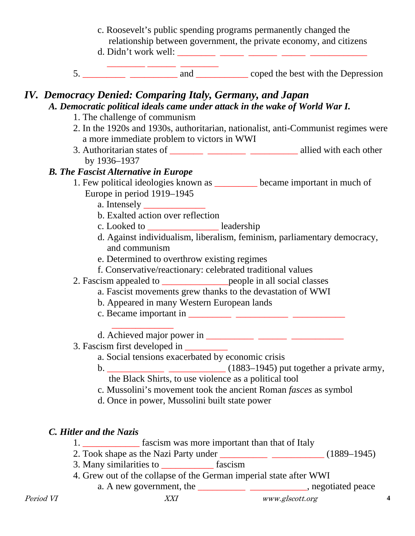- c. Roosevelt's public spending programs permanently changed the relationship between government, the private economy, and citizens d. Didn't work well: \_\_\_\_\_\_\_\_ \_\_\_\_\_ \_\_\_\_\_\_ \_\_\_\_\_ \_\_\_\_\_\_\_\_\_\_\_\_
- \_\_\_\_\_\_\_\_ \_\_\_\_\_\_ \_\_\_\_\_\_\_\_ 5. \_\_\_\_\_\_\_\_\_ \_\_\_\_\_\_\_\_\_\_ and \_\_\_\_\_\_\_\_\_\_\_ coped the best with the Depression

#### *IV. Democracy Denied: Comparing Italy, Germany, and Japan A. Democratic political ideals came under attack in the wake of World War I.*

- 1. The challenge of communism
- 2. In the 1920s and 1930s, authoritarian, nationalist, anti-Communist regimes were a more immediate problem to victors in WWI
- 3. Authoritarian states of \_\_\_\_\_\_\_ \_\_\_\_\_\_\_\_ \_\_\_\_\_\_\_\_\_\_ allied with each other by 1936–1937

#### *B. The Fascist Alternative in Europe*

- 1. Few political ideologies known as became important in much of Europe in period 1919–1945
	- a. Intensely \_\_\_\_\_\_\_\_\_\_\_\_\_
	- b. Exalted action over reflection
	- c. Looked to \_\_\_\_\_\_\_\_\_\_\_\_\_\_\_ leadership
	- d. Against individualism, liberalism, feminism, parliamentary democracy, and communism
	- e. Determined to overthrow existing regimes
	- f. Conservative/reactionary: celebrated traditional values
- 2. Fascism appealed to \_\_\_\_\_\_\_\_\_\_\_\_\_\_people in all social classes
	- a. Fascist movements grew thanks to the devastation of WWI
	- b. Appeared in many Western European lands
	- c. Became important in  $\frac{\qquad \qquad}{\qquad \qquad \qquad}$
	- $\overline{\phantom{a}}$  ,  $\overline{\phantom{a}}$  ,  $\overline{\phantom{a}}$  ,  $\overline{\phantom{a}}$  ,  $\overline{\phantom{a}}$  ,  $\overline{\phantom{a}}$  ,  $\overline{\phantom{a}}$  ,  $\overline{\phantom{a}}$  ,  $\overline{\phantom{a}}$  ,  $\overline{\phantom{a}}$  ,  $\overline{\phantom{a}}$  ,  $\overline{\phantom{a}}$  ,  $\overline{\phantom{a}}$  ,  $\overline{\phantom{a}}$  ,  $\overline{\phantom{a}}$  ,  $\overline{\phantom{a}}$ d. Achieved major power in
- 3. Fascism first developed in \_\_\_\_\_\_\_\_\_
	- a. Social tensions exacerbated by economic crisis
	- b. \_\_\_\_\_\_\_\_\_\_\_\_ \_\_\_\_\_\_\_\_\_\_\_\_ (1883–1945) put together a private army, the Black Shirts, to use violence as a political tool
	- c. Mussolini's movement took the ancient Roman *fasces* as symbol
	- d. Once in power, Mussolini built state power

#### *C. Hitler and the Nazis*

- 1. \_\_\_\_\_\_\_\_\_\_\_\_ fascism was more important than that of Italy
- 2. Took shape as the Nazi Party under  $\frac{1}{2}$  (1889–1945)
- 3. Many similarities to fascism
- 4. Grew out of the collapse of the German imperial state after WWI
- Period VI **XXI** www.glscott.org **4** a. A new government, the \_\_\_\_\_\_\_\_\_\_\_\_\_\_\_\_\_\_\_\_\_\_\_\_\_\_\_\_\_\_, negotiated peace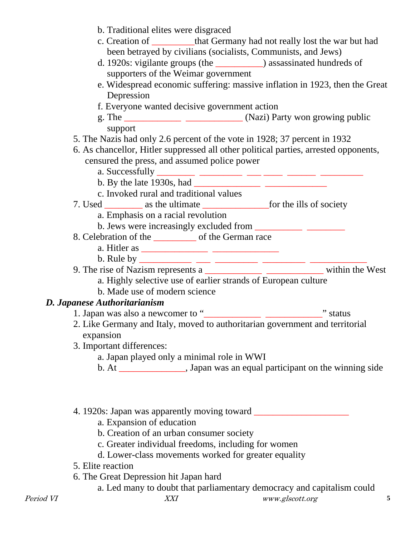|           | b. Traditional elites were disgraced<br>c. Creation of __________that Germany had not really lost the war but had<br>been betrayed by civilians (socialists, Communists, and Jews)<br>d. 1920s: vigilante groups (the _____________) assassinated hundreds of<br>supporters of the Weimar government<br>e. Widespread economic suffering: massive inflation in 1923, then the Great<br>Depression |
|-----------|---------------------------------------------------------------------------------------------------------------------------------------------------------------------------------------------------------------------------------------------------------------------------------------------------------------------------------------------------------------------------------------------------|
|           | f. Everyone wanted decisive government action                                                                                                                                                                                                                                                                                                                                                     |
|           | support                                                                                                                                                                                                                                                                                                                                                                                           |
|           | 5. The Nazis had only 2.6 percent of the vote in 1928; 37 percent in 1932                                                                                                                                                                                                                                                                                                                         |
|           | 6. As chancellor, Hitler suppressed all other political parties, arrested opponents,                                                                                                                                                                                                                                                                                                              |
|           | censured the press, and assumed police power                                                                                                                                                                                                                                                                                                                                                      |
|           | b. By the late 1930s, had $\frac{1}{\sqrt{1-\frac{1}{2}}\sqrt{1-\frac{1}{2}}\sqrt{1-\frac{1}{2}}\sqrt{1-\frac{1}{2}}\sqrt{1-\frac{1}{2}}\sqrt{1-\frac{1}{2}}\sqrt{1-\frac{1}{2}}\sqrt{1-\frac{1}{2}}\sqrt{1-\frac{1}{2}}\sqrt{1-\frac{1}{2}}\sqrt{1-\frac{1}{2}}\sqrt{1-\frac{1}{2}}\sqrt{1-\frac{1}{2}}\sqrt{1-\frac{1}{2}}\sqrt{1-\frac{1}{2}}\sqrt{1-\frac{1}{2}}\sqrt{1-\frac{1}{2}}\sqrt$    |
|           |                                                                                                                                                                                                                                                                                                                                                                                                   |
|           | c. Invoked rural and traditional values                                                                                                                                                                                                                                                                                                                                                           |
|           |                                                                                                                                                                                                                                                                                                                                                                                                   |
|           | a. Emphasis on a racial revolution                                                                                                                                                                                                                                                                                                                                                                |
|           |                                                                                                                                                                                                                                                                                                                                                                                                   |
|           |                                                                                                                                                                                                                                                                                                                                                                                                   |
|           |                                                                                                                                                                                                                                                                                                                                                                                                   |
|           |                                                                                                                                                                                                                                                                                                                                                                                                   |
|           |                                                                                                                                                                                                                                                                                                                                                                                                   |
|           | a. Highly selective use of earlier strands of European culture                                                                                                                                                                                                                                                                                                                                    |
|           | b. Made use of modern science                                                                                                                                                                                                                                                                                                                                                                     |
|           | D. Japanese Authoritarianism                                                                                                                                                                                                                                                                                                                                                                      |
|           |                                                                                                                                                                                                                                                                                                                                                                                                   |
|           | 2. Like Germany and Italy, moved to authoritarian government and territorial<br>expansion                                                                                                                                                                                                                                                                                                         |
|           | 3. Important differences:                                                                                                                                                                                                                                                                                                                                                                         |
|           | a. Japan played only a minimal role in WWI                                                                                                                                                                                                                                                                                                                                                        |
|           | b. At _________________, Japan was an equal participant on the winning side                                                                                                                                                                                                                                                                                                                       |
|           | 4. 1920s: Japan was apparently moving toward ________                                                                                                                                                                                                                                                                                                                                             |
|           | a. Expansion of education                                                                                                                                                                                                                                                                                                                                                                         |
|           | b. Creation of an urban consumer society                                                                                                                                                                                                                                                                                                                                                          |
|           | c. Greater individual freedoms, including for women                                                                                                                                                                                                                                                                                                                                               |
|           | d. Lower-class movements worked for greater equality                                                                                                                                                                                                                                                                                                                                              |
|           | 5. Elite reaction                                                                                                                                                                                                                                                                                                                                                                                 |
|           | 6. The Great Depression hit Japan hard                                                                                                                                                                                                                                                                                                                                                            |
|           | a. Led many to doubt that parliamentary democracy and capitalism could                                                                                                                                                                                                                                                                                                                            |
| Period VI | <b>XXI</b><br>www.glscott.org<br>5                                                                                                                                                                                                                                                                                                                                                                |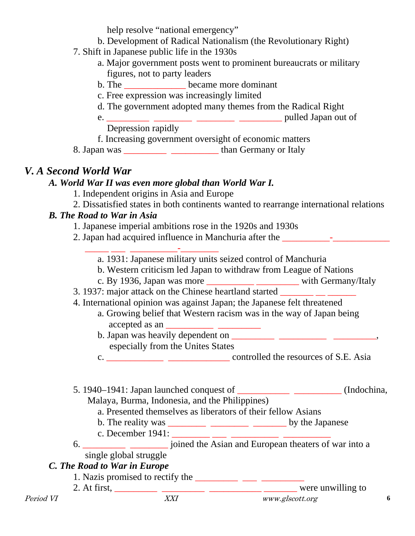help resolve "national emergency"

- b. Development of Radical Nationalism (the Revolutionary Right)
- 7. Shift in Japanese public life in the 1930s
	- a. Major government posts went to prominent bureaucrats or military figures, not to party leaders
	- b. The \_\_\_\_\_\_\_\_\_\_\_\_\_ became more dominant
	- c. Free expression was increasingly limited
	- d. The government adopted many themes from the Radical Right
	- e. \_\_\_\_\_\_\_\_\_ \_\_\_\_\_\_\_\_ \_\_\_\_\_\_\_\_ \_\_\_\_\_\_\_\_\_ pulled Japan out of Depression rapidly

f. Increasing government oversight of economic matters

8. Japan was \_\_\_\_\_\_\_\_\_ \_\_\_\_\_\_\_\_\_\_ than Germany or Italy

## *V. A Second World War*

### *A. World War II was even more global than World War I.*

- 1. Independent origins in Asia and Europe
- 2. Dissatisfied states in both continents wanted to rearrange international relations

### *B. The Road to War in Asia*

1. Japanese imperial ambitions rose in the 1920s and 1930s

- 2. Japan had acquired influence in Manchuria after the \_\_\_\_\_\_\_\_\_\_-\_\_\_\_\_\_\_\_\_\_\_\_
- $\frac{1}{\sqrt{2}}$  ,  $\frac{1}{\sqrt{2}}$  ,  $\frac{1}{\sqrt{2}}$  ,  $\frac{1}{\sqrt{2}}$  ,  $\frac{1}{\sqrt{2}}$  ,  $\frac{1}{\sqrt{2}}$  ,  $\frac{1}{\sqrt{2}}$  ,  $\frac{1}{\sqrt{2}}$  ,  $\frac{1}{\sqrt{2}}$  ,  $\frac{1}{\sqrt{2}}$  ,  $\frac{1}{\sqrt{2}}$  ,  $\frac{1}{\sqrt{2}}$  ,  $\frac{1}{\sqrt{2}}$  ,  $\frac{1}{\sqrt{2}}$  ,  $\frac{1}{\sqrt{2}}$ a. 1931: Japanese military units seized control of Manchuria
	- b. Western criticism led Japan to withdraw from League of Nations
	- c. By 1936, Japan was more \_\_\_\_\_\_\_\_\_\_ \_\_\_\_\_\_\_\_\_ with Germany/Italy
- 3. 1937: major attack on the Chinese heartland started \_\_\_\_\_\_\_ \_\_ \_\_\_\_\_\_
- 4. International opinion was against Japan; the Japanese felt threatened
	- a. Growing belief that Western racism was in the way of Japan being  $\text{accepted as an} \_\_\_\_\_\_\_\_\_\_\_\_$
	- b. Japan was heavily dependent on \_\_\_\_\_\_\_\_\_ \_\_\_\_\_\_\_\_\_\_ \_\_\_\_\_\_\_\_\_, especially from the Unites States
	- c. \_\_\_\_\_\_\_\_\_\_\_\_ \_\_\_\_\_\_\_\_\_\_\_\_\_ controlled the resources of S.E. Asia
- 5. 1940–1941: Japan launched conquest of \_\_\_\_\_\_\_\_\_\_\_ \_\_\_\_\_\_\_\_\_\_ (Indochina, Malaya, Burma, Indonesia, and the Philippines)
	- a. Presented themselves as liberators of their fellow Asians
	- b. The reality was \_\_\_\_\_\_\_\_ \_\_\_\_\_\_\_\_ \_\_\_\_\_\_\_ by the Japanese
- c. December 1941: \_\_\_\_\_\_\_\_\_\_ \_\_\_\_ \_\_\_\_\_\_\_\_\_\_\_\_\_ \_\_ 6. \_\_\_\_\_\_\_\_\_ \_\_\_\_\_\_\_\_ joined the Asian and European theaters of war into a
- single global struggle

### *C. The Road to War in Europe*

- 1. Nazis promised to rectify the  $\frac{1}{\sqrt{1-\frac{1}{n}}}\frac{1}{\sqrt{1-\frac{1}{n}}}\frac{1}{\sqrt{1-\frac{1}{n}}}\frac{1}{\sqrt{1-\frac{1}{n}}}\frac{1}{\sqrt{1-\frac{1}{n}}}\frac{1}{\sqrt{1-\frac{1}{n}}}\frac{1}{\sqrt{1-\frac{1}{n}}}\frac{1}{\sqrt{1-\frac{1}{n}}}\frac{1}{\sqrt{1-\frac{1}{n}}}\frac{1}{\sqrt{1-\frac{1}{n}}}\frac{1}{\sqrt{1-\frac{1}{n}}}\frac{1}{\sqrt{1-\frac$
-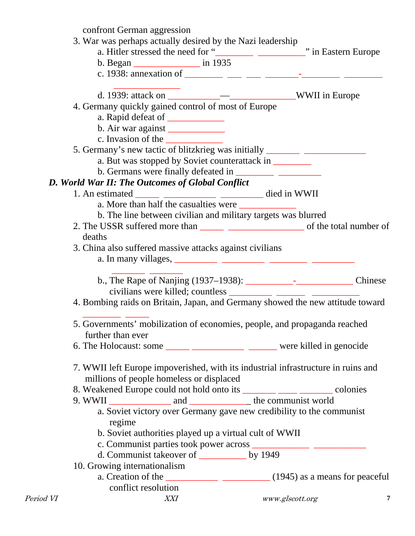confront German aggression

- 3. War was perhaps actually desired by the Nazi leadership
	- a. Hitler stressed the need for "\_\_\_\_\_\_\_\_ \_\_\_\_\_\_\_\_\_\_" in Eastern Europe
	- b. Began \_\_\_\_\_\_\_\_\_\_\_\_\_\_ in 1935
- c. 1938: annexation of \_\_\_\_\_\_\_\_ \_\_\_ \_\_\_ \_\_\_\_\_\_\_-\_\_\_\_\_\_\_\_ \_\_\_\_\_\_\_\_  $\frac{1}{\sqrt{2}}$  ,  $\frac{1}{\sqrt{2}}$  ,  $\frac{1}{\sqrt{2}}$  ,  $\frac{1}{\sqrt{2}}$  ,  $\frac{1}{\sqrt{2}}$  ,  $\frac{1}{\sqrt{2}}$  ,  $\frac{1}{\sqrt{2}}$  ,  $\frac{1}{\sqrt{2}}$  ,  $\frac{1}{\sqrt{2}}$  ,  $\frac{1}{\sqrt{2}}$  ,  $\frac{1}{\sqrt{2}}$  ,  $\frac{1}{\sqrt{2}}$  ,  $\frac{1}{\sqrt{2}}$  ,  $\frac{1}{\sqrt{2}}$  ,  $\frac{1}{\sqrt{2}}$ 
	- d. 1939: attack on \_\_\_\_\_\_\_\_\_\_\_—\_\_\_\_\_\_\_\_\_\_\_\_\_\_WWII in Europe
	- 4. Germany quickly gained control of most of Europe
		- a. Rapid defeat of \_\_\_\_\_\_\_\_\_\_\_\_\_
		- b. Air war against
		- c. Invasion of the
	- 5. Germany's new tactic of blitzkrieg was initially
		- a. But was stopped by Soviet counterattack in
		- b. Germans were finally defeated in

### *D. World War II: The Outcomes of Global Conflict*

- 1. An estimated \_\_\_\_\_\_ \_\_\_\_\_\_\_\_\_\_\_\_\_\_\_\_\_\_\_ died in WWII
	- a. More than half the casualties were
		- b. The line between civilian and military targets was blurred
- 2. The USSR suffered more than \_\_\_\_\_\_ \_\_\_\_\_\_\_\_\_\_\_\_\_\_\_\_\_\_\_ of the total number of deaths
- 3. China also suffered massive attacks against civilians a. In many villages, \_\_\_\_\_\_\_\_\_ \_\_\_\_\_\_\_\_\_ \_\_\_\_\_\_\_\_ \_\_\_\_\_\_\_\_\_
	- $\frac{1}{\sqrt{2}}$  ,  $\frac{1}{\sqrt{2}}$  ,  $\frac{1}{\sqrt{2}}$  ,  $\frac{1}{\sqrt{2}}$  ,  $\frac{1}{\sqrt{2}}$  ,  $\frac{1}{\sqrt{2}}$  ,  $\frac{1}{\sqrt{2}}$  ,  $\frac{1}{\sqrt{2}}$ b., The Rape of Nanjing (1937–1938): \_\_\_\_\_\_\_\_\_\_-\_\_\_\_\_\_\_\_\_\_\_\_ Chinese civilians were killed; countless \_\_\_\_\_\_\_\_\_ \_\_\_\_\_\_\_ \_\_\_\_\_\_
- 4. Bombing raids on Britain, Japan, and Germany showed the new attitude toward
- $\overline{\phantom{a}}$  , and the set of  $\overline{\phantom{a}}$ 5. Governments' mobilization of economies, people, and propaganda reached further than ever
- 6. The Holocaust: some \_\_\_\_\_ \_\_\_\_\_\_\_\_\_\_\_ \_\_\_\_\_\_ were killed in genocide
- 7. WWII left Europe impoverished, with its industrial infrastructure in ruins and millions of people homeless or displaced
- 8. Weakened Europe could not hold onto its \_\_\_\_\_\_\_ \_\_\_\_\_ \_\_\_\_\_\_\_ colonies
- 9. WWII \_\_\_\_\_\_\_\_\_\_\_\_\_ and \_\_\_\_\_\_\_\_\_\_\_\_\_ the communist world
	- a. Soviet victory over Germany gave new credibility to the communist regime
	- b. Soviet authorities played up a virtual cult of WWII
	- c. Communist parties took power across \_\_\_\_\_\_\_\_\_\_\_\_ \_\_\_\_\_\_\_\_\_\_\_
	- d. Communist takeover of \_\_\_\_\_\_\_\_\_\_ by 1949
- 10. Growing internationalism
- Period VI **XXI** www.glscott.org **7** a. Creation of the  $\frac{1}{\sqrt{1-\frac{1}{\sqrt{1-\frac{1}{\sqrt{1-\frac{1}{\sqrt{1-\frac{1}{\sqrt{1-\frac{1}{\sqrt{1-\frac{1}{\sqrt{1-\frac{1}{\sqrt{1-\frac{1}{\sqrt{1-\frac{1}{\sqrt{1-\frac{1}{\sqrt{1-\frac{1}{\sqrt{1-\frac{1}{\sqrt{1-\frac{1}{\sqrt{1-\frac{1}{\sqrt{1-\frac{1}{\sqrt{1-\frac{1}{\sqrt{1-\frac{1}{\sqrt{1-\frac{1}{\sqrt{1-\frac{1}{\sqrt{1-\frac{1}{\sqrt{1-\frac{1}{\sqrt{1-\frac{$ conflict resolution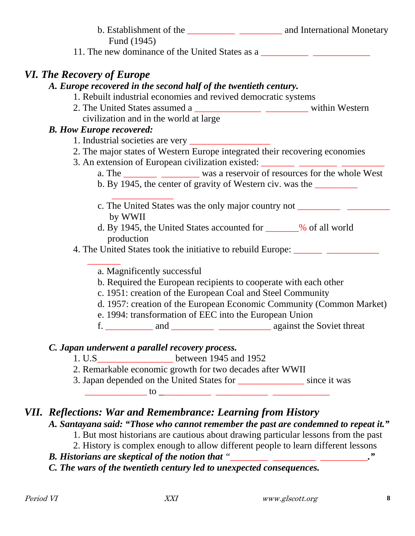|                                   | Fund (1945)                                                                                                          |                                                                                   |
|-----------------------------------|----------------------------------------------------------------------------------------------------------------------|-----------------------------------------------------------------------------------|
|                                   |                                                                                                                      |                                                                                   |
| <b>VI. The Recovery of Europe</b> |                                                                                                                      |                                                                                   |
|                                   | A. Europe recovered in the second half of the twentieth century.                                                     |                                                                                   |
|                                   | 1. Rebuilt industrial economies and revived democratic systems                                                       |                                                                                   |
|                                   |                                                                                                                      |                                                                                   |
|                                   | civilization and in the world at large                                                                               |                                                                                   |
|                                   | <b>B. How Europe recovered:</b>                                                                                      |                                                                                   |
|                                   |                                                                                                                      |                                                                                   |
|                                   | 2. The major states of Western Europe integrated their recovering economies                                          |                                                                                   |
|                                   | 3. An extension of European civilization existed: _______________________________                                    |                                                                                   |
|                                   |                                                                                                                      |                                                                                   |
|                                   | b. By 1945, the center of gravity of Western civ. was the ________                                                   |                                                                                   |
|                                   |                                                                                                                      |                                                                                   |
|                                   | by WWII                                                                                                              |                                                                                   |
|                                   | d. By 1945, the United States accounted for ______% of all world                                                     |                                                                                   |
|                                   | production                                                                                                           |                                                                                   |
|                                   |                                                                                                                      | 4. The United States took the initiative to rebuild Europe: _____________________ |
|                                   |                                                                                                                      |                                                                                   |
|                                   | a. Magnificently successful                                                                                          |                                                                                   |
|                                   | b. Required the European recipients to cooperate with each other                                                     |                                                                                   |
|                                   | c. 1951: creation of the European Coal and Steel Community                                                           |                                                                                   |
|                                   |                                                                                                                      | d. 1957: creation of the European Economic Community (Common Market)              |
|                                   | e. 1994: transformation of EEC into the European Union                                                               |                                                                                   |
|                                   |                                                                                                                      |                                                                                   |
|                                   | C. Japan underwent a parallel recovery process.                                                                      |                                                                                   |
|                                   | between 1945 and 1952<br>1. U.S                                                                                      |                                                                                   |
|                                   | 2. Remarkable economic growth for two decades after WWII                                                             |                                                                                   |
|                                   | 3. Japan depended on the United States for ________________ since it was                                             |                                                                                   |
|                                   | <u> 1980 - Jan Stein Stein Stein Stein Stein Stein Stein Stein Stein Stein Stein Stein Stein Stein Stein Stein S</u> |                                                                                   |
|                                   |                                                                                                                      |                                                                                   |

### *VII. Reflections: War and Remembrance: Learning from History*

#### *A. Santayana said: "Those who cannot remember the past are condemned to repeat it."*

1. But most historians are cautious about drawing particular lessons from the past

2. History is complex enough to allow different people to learn different lessons

*B. Historians are skeptical of the notion that "\_\_\_\_\_\_\_\_ \_\_\_\_\_\_\_\_\_ \_\_\_\_\_\_\_\_\_\_."*

*C. The wars of the twentieth century led to unexpected consequences.*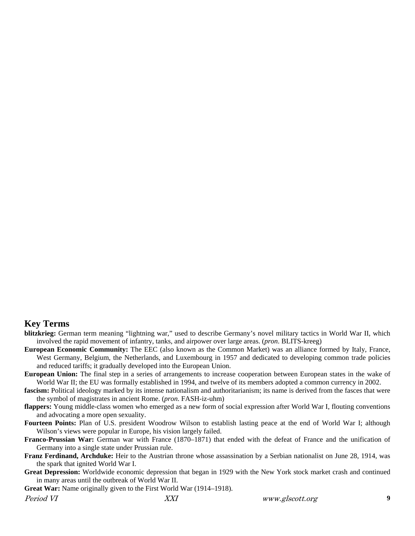#### **Key Terms**

- **blitzkrieg:** German term meaning "lightning war," used to describe Germany's novel military tactics in World War II, which involved the rapid movement of infantry, tanks, and airpower over large areas. (*pron*. BLITS-kreeg)
- **European Economic Community:** The EEC (also known as the Common Market) was an alliance formed by Italy, France, West Germany, Belgium, the Netherlands, and Luxembourg in 1957 and dedicated to developing common trade policies and reduced tariffs; it gradually developed into the European Union.
- **European Union:** The final step in a series of arrangements to increase cooperation between European states in the wake of World War II; the EU was formally established in 1994, and twelve of its members adopted a common currency in 2002.
- fascism: Political ideology marked by its intense nationalism and authoritarianism; its name is derived from the fasces that were the symbol of magistrates in ancient Rome. (*pron*. FASH-iz-uhm)
- **flappers:** Young middle-class women who emerged as a new form of social expression after World War I, flouting conventions and advocating a more open sexuality.
- **Fourteen Points:** Plan of U.S. president Woodrow Wilson to establish lasting peace at the end of World War I; although Wilson's views were popular in Europe, his vision largely failed.
- **Franco-Prussian War:** German war with France (1870–1871) that ended with the defeat of France and the unification of Germany into a single state under Prussian rule.
- **Franz Ferdinand, Archduke:** Heir to the Austrian throne whose assassination by a Serbian nationalist on June 28, 1914, was the spark that ignited World War I.
- **Great Depression:** Worldwide economic depression that began in 1929 with the New York stock market crash and continued in many areas until the outbreak of World War II.
- **Great War:** Name originally given to the First World War (1914–1918).

Period VI **XXI** www.glscott.org **9**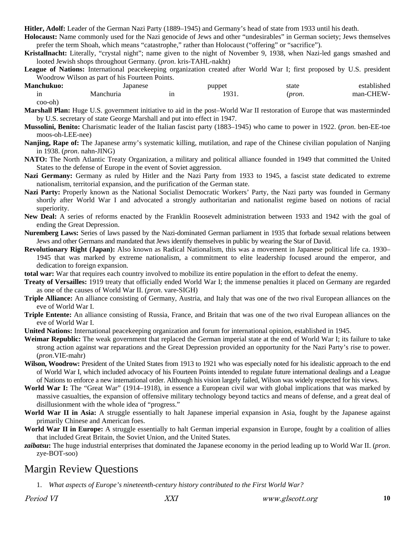**Hitler, Adolf:** Leader of the German Nazi Party (1889–1945) and Germany's head of state from 1933 until his death.

**Holocaust:** Name commonly used for the Nazi genocide of Jews and other "undesirables" in German society; Jews themselves prefer the term Shoah, which means "catastrophe," rather than Holocaust ("offering" or "sacrifice").

**Kristallnacht:** Literally, "crystal night"; name given to the night of November 9, 1938, when Nazi-led gangs smashed and looted Jewish shops throughout Germany. (*pron*. kris-TAHL-nakht)

**League of Nations:** International peacekeeping organization created after World War I; first proposed by U.S. president Woodrow Wilson as part of his Fourteen Points.

| <b>Manchukuo:</b> | apanese   | puppet             | state        | established |
|-------------------|-----------|--------------------|--------------|-------------|
| --<br>- -         | Manchuria | ∶02،<br><u>. .</u> | <i>pron.</i> | man-CHEW-   |

coo-oh)

**Marshall Plan:** Huge U.S. government initiative to aid in the post–World War II restoration of Europe that was masterminded by U.S. secretary of state George Marshall and put into effect in 1947.

**Mussolini, Benito:** Charismatic leader of the Italian fascist party (1883–1945) who came to power in 1922. (*pron*. ben-EE-toe moos-oh-LEE-nee)

**Nanjing, Rape of:** The Japanese army's systematic killing, mutilation, and rape of the Chinese civilian population of Nanjing in 1938. (*pron*. nahn-JING)

**NATO:** The North Atlantic Treaty Organization, a military and political alliance founded in 1949 that committed the United States to the defense of Europe in the event of Soviet aggression.

**Nazi Germany:** Germany as ruled by Hitler and the Nazi Party from 1933 to 1945, a fascist state dedicated to extreme nationalism, territorial expansion, and the purification of the German state.

**Nazi Party:** Properly known as the National Socialist Democratic Workers' Party, the Nazi party was founded in Germany shortly after World War I and advocated a strongly authoritarian and nationalist regime based on notions of racial superiority.

**New Deal:** A series of reforms enacted by the Franklin Roosevelt administration between 1933 and 1942 with the goal of ending the Great Depression.

**Nuremberg Laws:** Series of laws passed by the Nazi-dominated German parliament in 1935 that forbade sexual relations between Jews and other Germans and mandated that Jews identify themselves in public by wearing the Star of David.

**Revolutionary Right (Japan):** Also known as Radical Nationalism, this was a movement in Japanese political life ca. 1930– 1945 that was marked by extreme nationalism, a commitment to elite leadership focused around the emperor, and dedication to foreign expansion.

**total war:** War that requires each country involved to mobilize its entire population in the effort to defeat the enemy.

**Treaty of Versailles:** 1919 treaty that officially ended World War I; the immense penalties it placed on Germany are regarded as one of the causes of World War II. (*pron*. vare-SIGH)

**Triple Alliance:** An alliance consisting of Germany, Austria, and Italy that was one of the two rival European alliances on the eve of World War I.

**Triple Entente:** An alliance consisting of Russia, France, and Britain that was one of the two rival European alliances on the eve of World War I.

**United Nations:** International peacekeeping organization and forum for international opinion, established in 1945.

**Weimar Republic:** The weak government that replaced the German imperial state at the end of World War I; its failure to take strong action against war reparations and the Great Depression provided an opportunity for the Nazi Party's rise to power. (*pron*.VIE-mahr)

**Wilson, Woodrow:** President of the United States from 1913 to 1921 who was especially noted for his idealistic approach to the end of World War I, which included advocacy of his Fourteen Points intended to regulate future international dealings and a League of Nations to enforce a new international order. Although his vision largely failed, Wilson was widely respected for his views.

**World War I:** The "Great War" (1914–1918), in essence a European civil war with global implications that was marked by massive casualties, the expansion of offensive military technology beyond tactics and means of defense, and a great deal of disillusionment with the whole idea of "progress."

**World War II in Asia:** A struggle essentially to halt Japanese imperial expansion in Asia, fought by the Japanese against primarily Chinese and American foes.

**World War II in Europe:** A struggle essentially to halt German imperial expansion in Europe, fought by a coalition of allies that included Great Britain, the Soviet Union, and the United States.

*zaibatsu***:** The huge industrial enterprises that dominated the Japanese economy in the period leading up to World War II. (*pron*. zye-BOT-soo)

#### Margin Review Questions

1. *What aspects of Europe's nineteenth-century history contributed to the First World War?*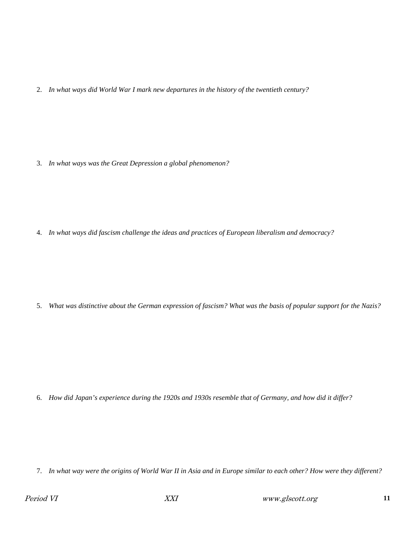2. *In what ways did World War I mark new departures in the history of the twentieth century?*

3. *In what ways was the Great Depression a global phenomenon?*

4. *In what ways did fascism challenge the ideas and practices of European liberalism and democracy?*

5. *What was distinctive about the German expression of fascism? What was the basis of popular support for the Nazis?*

6. *How did Japan's experience during the 1920s and 1930s resemble that of Germany, and how did it differ?*

7. *In what way were the origins of World War II in Asia and in Europe similar to each other? How were they different?*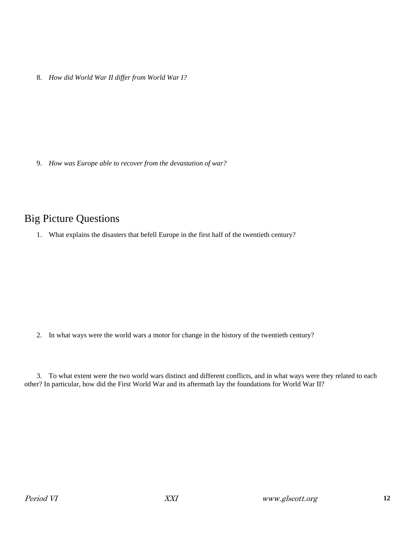8. *How did World War II differ from World War I?*

9. *How was Europe able to recover from the devastation of war?*

### Big Picture Questions

1. What explains the disasters that befell Europe in the first half of the twentieth century?

2. In what ways were the world wars a motor for change in the history of the twentieth century?

3. To what extent were the two world wars distinct and different conflicts, and in what ways were they related to each other? In particular, how did the First World War and its aftermath lay the foundations for World War II?